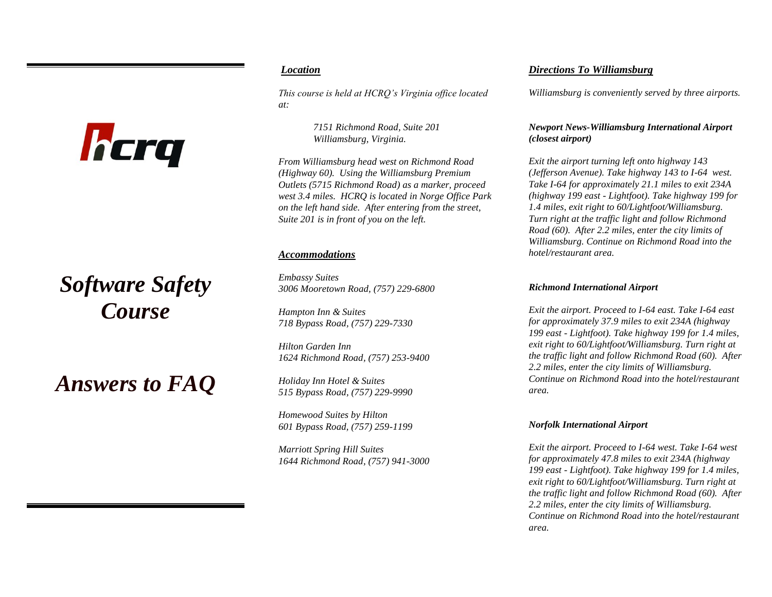# *Location*

*This course is held at HCRQ's Virginia office located at:*

> *7151 Richmond Road, Suite 201 Williamsburg, Virginia.*

*From Williamsburg head west on Richmond Road (Highway 60). Using the Williamsburg Premium Outlets (5715 Richmond Road) as a marker, proceed west 3.4 miles. HCRQ is located in Norge Office Park on the left hand side. After entering from the street, Suite 201 is in front of you on the left.*

#### *Accommodations*

*Embassy Suites 3006 Mooretown Road, (757) 229-6800*

*Hampton Inn & Suites 718 Bypass Road, (757) 229-7330*

*Hilton Garden Inn 1624 Richmond Road, (757) 253-9400*

*Holiday Inn Hotel & Suites 515 Bypass Road, (757) 229-9990*

*Homewood Suites by Hilton 601 Bypass Road, (757) 259-1199*

*Marriott Spring Hill Suites 1644 Richmond Road, (757) 941-3000*

## *Directions To Williamsburg*

*Williamsburg is conveniently served by three airports.*

#### *Newport News-Williamsburg International Airport (closest airport)*

*Exit the airport turning left onto highway 143 (Jefferson Avenue). Take highway 143 to I-64 west. Take I-64 for approximately 21.1 miles to exit 234A (highway 199 east - Lightfoot). Take highway 199 for 1.4 miles, exit right to 60/Lightfoot/Williamsburg. Turn right at the traffic light and follow Richmond Road (60). After 2.2 miles, enter the city limits of Williamsburg. Continue on Richmond Road into the hotel/restaurant area.*

#### *Richmond International Airport*

*Exit the airport. Proceed to I-64 east. Take I-64 east for approximately 37.9 miles to exit 234A (highway 199 east - Lightfoot). Take highway 199 for 1.4 miles, exit right to 60/Lightfoot/Williamsburg. Turn right at the traffic light and follow Richmond Road (60). After 2.2 miles, enter the city limits of Williamsburg. Continue on Richmond Road into the hotel/restaurant area.*

#### *Norfolk International Airport*

*Exit the airport. Proceed to I-64 west. Take I-64 west for approximately 47.8 miles to exit 234A (highway 199 east - Lightfoot). Take highway 199 for 1.4 miles, exit right to 60/Lightfoot/Williamsburg. Turn right at the traffic light and follow Richmond Road (60). After 2.2 miles, enter the city limits of Williamsburg. Continue on Richmond Road into the hotel/restaurant area.*

# *Software Safety Course*

hcrq

*Answers to FAQ*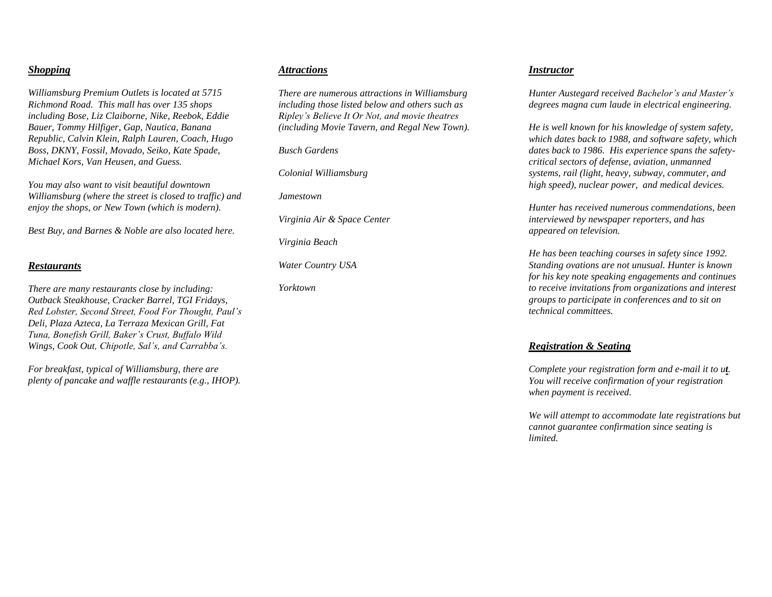## *Shopping*

*Williamsburg Premium Outlets is located at 5715 Richmond Road. This mall has over 135 shops including Bose, Liz Claiborne, Nike, Reebok, Eddie Bauer, Tommy Hilfiger, Gap, Nautica, Banana Republic, Calvin Klein, Ralph Lauren, Coach, Hugo Boss, DKNY, Fossil, Movado, Seiko, Kate Spade, Michael Kors, Van Heusen, and Guess.* 

*You may also want to visit beautiful downtown Williamsburg (where the street is closed to traffic) and enjoy the shops, or New Town (which is modern).*

*Best Buy, and Barnes & Noble are also located here.*

#### *Restaurants*

*There are many restaurants close by including: Outback Steakhouse, Cracker Barrel, TGI Fridays, Red Lobster, Second Street, Food For Thought, Paul's Deli, Plaza Azteca, La Terraza Mexican Grill, Fat Tuna, Bonefish Grill, Baker's Crust, Buffalo Wild Wings, Cook Out, Chipotle, Sal's, and Carrabba's.* 

*For breakfast, typical of Williamsburg, there are plenty of pancake and waffle restaurants (e.g., IHOP).*

#### *Attractions*

*There are numerous attractions in Williamsburg including those listed below and others such as Ripley's Believe It Or Not, and movie theatres (including Movie Tavern, and Regal New Town).*

*Busch Gardens*

*Colonial Williamsburg*

*Jamestown*

*Virginia Air & Space Center*

*Virginia Beach*

*Water Country USA*

*Yorktown*

#### *Instructor*

*Hunter Austegard received Bachelor's and Master's degrees magna cum laude in electrical engineering.*

*He is well known for his knowledge of system safety, which dates back to 1988, and software safety, which dates back to 1986. His experience spans the safetycritical sectors of defense, aviation, unmanned systems, rail (light, heavy, subway, commuter, and high speed), nuclear power, and medical devices.*

*Hunter has received numerous commendations, been interviewed by newspaper reporters, and has appeared on television.*

*He has been teaching courses in safety since 1992. Standing ovations are not unusual. Hunter is known for his key note speaking engagements and continues to receive invitations from organizations and interest groups to participate in conferences and to sit on technical committees.*

#### *Registration & Seating*

*Complete your registration form and e-mail it to ut. You will receive confirmation of your registration when payment is received.* 

*We will attempt to accommodate late registrations but cannot guarantee confirmation since seating is limited.*